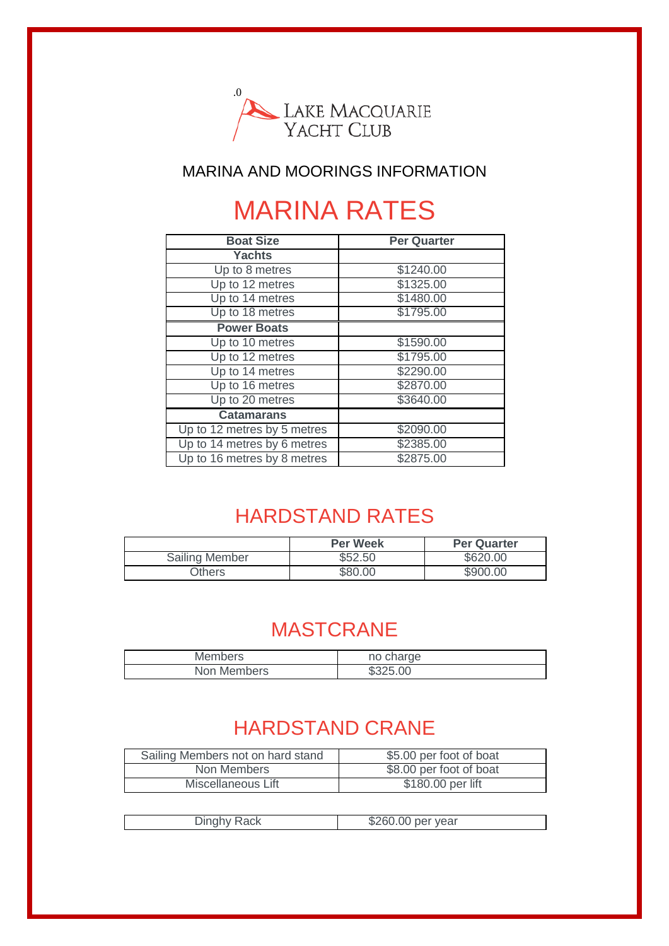

#### MARINA AND MOORINGS INFORMATION

## MARINA RATES

| <b>Boat Size</b>            | Per Quarter |
|-----------------------------|-------------|
| <b>Yachts</b>               |             |
| Up to 8 metres              | \$1240.00   |
| Up to 12 metres             | \$1325.00   |
| Up to 14 metres             | \$1480.00   |
| Up to 18 metres             | \$1795.00   |
| <b>Power Boats</b>          |             |
| Up to 10 metres             | \$1590.00   |
| Up to 12 metres             | \$1795.00   |
| Up to 14 metres             | \$2290.00   |
| Up to 16 metres             | \$2870.00   |
| Up to 20 metres             | \$3640.00   |
| <b>Catamarans</b>           |             |
| Up to 12 metres by 5 metres | \$2090.00   |
| Up to 14 metres by 6 metres | \$2385.00   |
| Up to 16 metres by 8 metres | \$2875.00   |

### HARDSTAND RATES

|                       | <b>Per Week</b> | <b>Per Quarter</b> |
|-----------------------|-----------------|--------------------|
| <b>Sailing Member</b> | \$52.50         | \$620.00           |
| Others                | \$80.00         | \$900.00           |

#### MASTCRANE

| <b>Members</b> | no charge |
|----------------|-----------|
| Non Members    | \$325.00  |

#### HARDSTAND CRANE

| Sailing Members not on hard stand | \$5.00 per foot of boat |
|-----------------------------------|-------------------------|
| Non Members                       | \$8.00 per foot of boat |
| Miscellaneous Lift                | \$180.00 per lift       |
|                                   |                         |

| i Think an Isla<br>$\nu$ ii iyi iy | നേമ<br>.60.00 per year |
|------------------------------------|------------------------|
|                                    |                        |